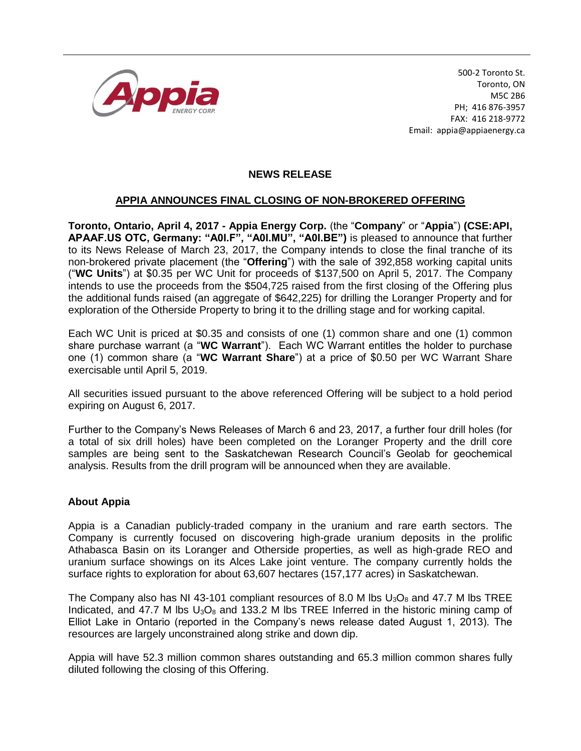

500-2 Toronto St. Toronto, ON M5C 2B6 PH; 416 876-3957 FAX: 416 218-9772 Email: appia@appiaenergy.ca

## **NEWS RELEASE**

## **APPIA ANNOUNCES FINAL CLOSING OF NON-BROKERED OFFERING**

**Toronto, Ontario, April 4, 2017 - Appia Energy Corp.** (the "**Company**" or "**Appia**") **(CSE:API, APAAF.US OTC, Germany: "A0I.F", "A0I.MU", "A0I.BE")** is pleased to announce that further to its News Release of March 23, 2017, the Company intends to close the final tranche of its non-brokered private placement (the "**Offering**") with the sale of 392,858 working capital units ("**WC Units**") at \$0.35 per WC Unit for proceeds of \$137,500 on April 5, 2017. The Company intends to use the proceeds from the \$504,725 raised from the first closing of the Offering plus the additional funds raised (an aggregate of \$642,225) for drilling the Loranger Property and for exploration of the Otherside Property to bring it to the drilling stage and for working capital.

Each WC Unit is priced at \$0.35 and consists of one (1) common share and one (1) common share purchase warrant (a "**WC Warrant**"). Each WC Warrant entitles the holder to purchase one (1) common share (a "**WC Warrant Share**") at a price of \$0.50 per WC Warrant Share exercisable until April 5, 2019.

All securities issued pursuant to the above referenced Offering will be subject to a hold period expiring on August 6, 2017.

Further to the Company's News Releases of March 6 and 23, 2017, a further four drill holes (for a total of six drill holes) have been completed on the Loranger Property and the drill core samples are being sent to the Saskatchewan Research Council's Geolab for geochemical analysis. Results from the drill program will be announced when they are available.

## **About Appia**

Appia is a Canadian publicly-traded company in the uranium and rare earth sectors. The Company is currently focused on discovering high-grade uranium deposits in the prolific Athabasca Basin on its Loranger and Otherside properties, as well as high-grade REO and uranium surface showings on its Alces Lake joint venture. The company currently holds the surface rights to exploration for about 63,607 hectares (157,177 acres) in Saskatchewan.

The Company also has NI 43-101 compliant resources of 8.0 M lbs  $U_3O_8$  and 47.7 M lbs TREE Indicated, and 47.7 M lbs  $U_3O_8$  and 133.2 M lbs TREE Inferred in the historic mining camp of Elliot Lake in Ontario (reported in the Company's news release dated August 1, 2013). The resources are largely unconstrained along strike and down dip.

Appia will have 52.3 million common shares outstanding and 65.3 million common shares fully diluted following the closing of this Offering.